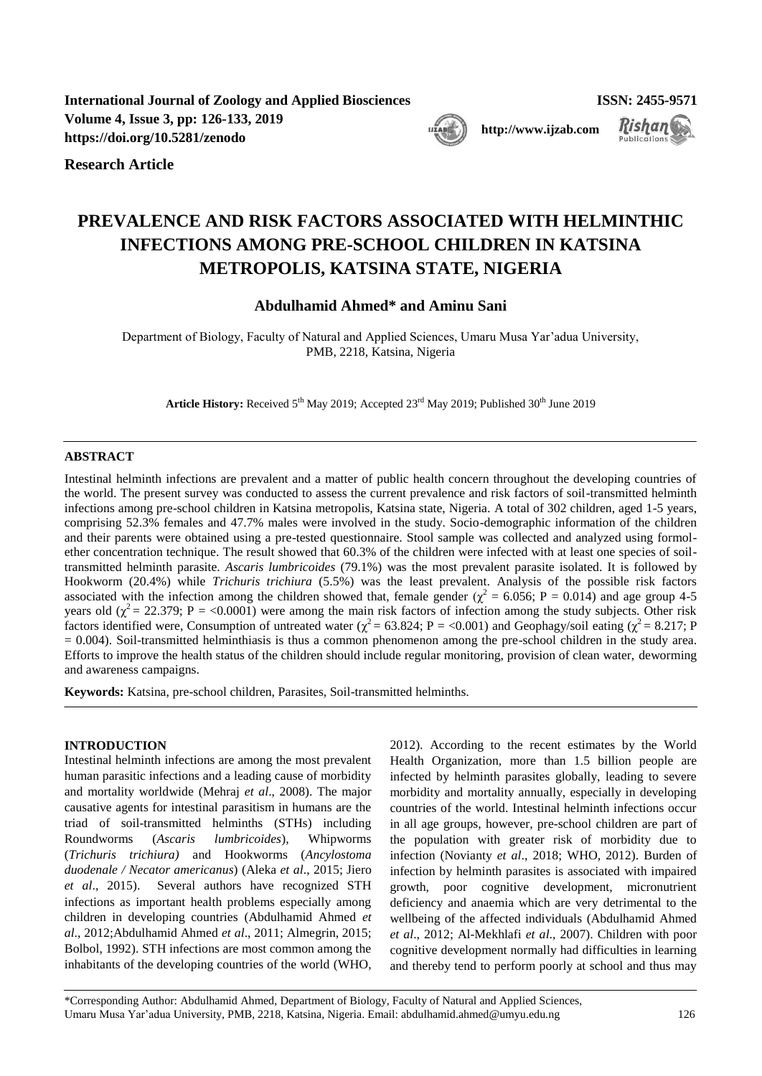**International Journal of Zoology and Applied Biosciences ISSN: 2455-9571 Volume 4, Issue 3, pp: 126-133, 2019**  [https://doi.org/10.5281/zenodo](https://doi.org/10.5281/zenodo....................)

**Research Article**

# **PREVALENCE AND RISK FACTORS ASSOCIATED WITH HELMINTHIC INFECTIONS AMONG PRE-SCHOOL CHILDREN IN KATSINA METROPOLIS, KATSINA STATE, NIGERIA**

**Abdulhamid Ahmed\* and Aminu Sani**

Department of Biology, Faculty of Natural and Applied Sciences, Umaru Musa Yar'adua University, PMB, 2218, Katsina, Nigeria

Article History: Received 5<sup>th</sup> May 2019; Accepted 23<sup>rd</sup> May 2019; Published 30<sup>th</sup> June 2019

## **ABSTRACT**

Intestinal helminth infections are prevalent and a matter of public health concern throughout the developing countries of the world. The present survey was conducted to assess the current prevalence and risk factors of soil-transmitted helminth infections among pre-school children in Katsina metropolis, Katsina state, Nigeria. A total of 302 children, aged 1-5 years, comprising 52.3% females and 47.7% males were involved in the study. Socio-demographic information of the children and their parents were obtained using a pre-tested questionnaire. Stool sample was collected and analyzed using formolether concentration technique. The result showed that 60.3% of the children were infected with at least one species of soiltransmitted helminth parasite. *Ascaris lumbricoides* (79.1%) was the most prevalent parasite isolated. It is followed by Hookworm (20.4%) while *Trichuris trichiura* (5.5%) was the least prevalent. Analysis of the possible risk factors associated with the infection among the children showed that, female gender ( $\chi^2$  = 6.056; P = 0.014) and age group 4-5 years old ( $\chi^2$  = 22.379; P = <0.0001) were among the main risk factors of infection among the study subjects. Other risk factors identified were, Consumption of untreated water ( $\chi^2$  = 63.824; P = <0.001) and Geophagy/soil eating ( $\chi^2$  = 8.217; P  $= 0.004$ ). Soil-transmitted helminthiasis is thus a common phenomenon among the pre-school children in the study area. Efforts to improve the health status of the children should include regular monitoring, provision of clean water, deworming and awareness campaigns.

**Keywords:** Katsina, pre-school children, Parasites, Soil-transmitted helminths.

## **INTRODUCTION**

Intestinal helminth infections are among the most prevalent human parasitic infections and a leading cause of morbidity and mortality worldwide [\(Mehraj](#page-6-0) *et al*., 2008). The major causative agents for intestinal parasitism in humans are the triad of soil-transmitted helminths (STHs) including Roundworms (*Ascaris lumbricoides*), Whipworms (*Trichuris trichiura)* and Hookworms (*Ancylostoma duodenale / Necator americanus*) [\(Aleka](#page-6-1) *et al*., 2015; [Jiero](#page-6-2) *et al*., [2015\)](#page-6-2). Several authors have recognized STH infections as important health problems especially among children in developing countries [\(Abdulhamid Ahmed](#page-5-0) *et al*[., 2012](#page-5-0)[;Abdulhamid Ahmed](#page-5-1) *et al*., 2011; [Almegrin, 2015;](#page-5-2) [Bolbol, 1992\)](#page-6-3). STH infections are most common among the inhabitants of the developing countries of the world [\(WHO,](#page-7-0)  [2012\)](#page-7-0). According to the recent estimates by the World Health Organization, more than 1.5 billion people are infected by helminth parasites globally, leading to severe morbidity and mortality annually, especially in developing countries of the world. Intestinal helminth infections occur in all age groups, however, pre-school children are part of the population with greater risk of morbidity due to infection [\(Novianty](#page-6-4) *et al*., 2018; [WHO, 2012\)](#page-7-0). Burden of infection by helminth parasites is associated with impaired growth, poor cognitive development, micronutrient deficiency and anaemia which are very detrimental to the wellbeing of the affected individuals [\(Abdulhamid Ahmed](#page-5-0)  *et al*[., 2012;](#page-5-0) [Al-Mekhlafi](#page-5-3) *et al*., 2007). Children with poor cognitive development normally had difficulties in learning and thereby tend to perform poorly at school and thus may

\*Corresponding Author: Abdulhamid Ahmed, Department of Biology, Faculty of Natural and Applied Sciences, Umaru Musa Yar'adua University, PMB, 2218, Katsina, Nigeria. Email: abdulhamid.ahmed@umyu.edu.ng 126



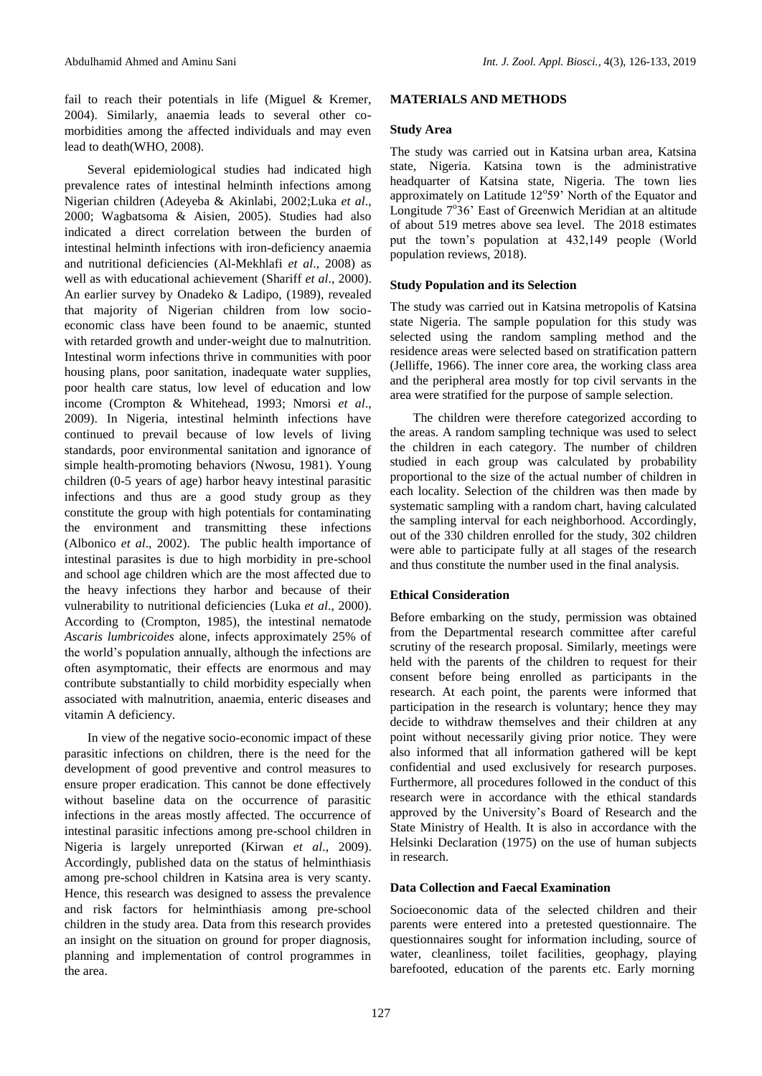fail to reach their potentials in life [\(Miguel & Kremer,](#page-6-5)  [2004\)](#page-6-5). Similarly, anaemia leads to several other comorbidities among the affected individuals and may even lead to death[\(WHO, 2008\)](#page-7-1).

Several epidemiological studies had indicated high prevalence rates of intestinal helminth infections among Nigerian children [\(Adeyeba & Akinlabi, 2002](#page-5-4)[;Luka](#page-6-6) *et al*., [2000;](#page-6-6) [Wagbatsoma & Aisien, 2005\)](#page-7-2). Studies had also indicated a direct correlation between the burden of intestinal helminth infections with iron-deficiency anaemia and nutritional deficiencies [\(Al-Mekhlafi](#page-6-7) *et al*., 2008) as well as with educational achievement [\(Shariff](#page-7-3) *et al*., 2000). An earlier survey by [Onadeko & Ladipo, \(1989\)](#page-6-8), revealed that majority of Nigerian children from low socioeconomic class have been found to be anaemic, stunted with retarded growth and under-weight due to malnutrition. Intestinal worm infections thrive in communities with poor housing plans, poor sanitation, inadequate water supplies, poor health care status, low level of education and low income [\(Crompton & Whitehead, 1993;](#page-6-9) [Nmorsi](#page-6-10) *et al*., [2009\)](#page-6-10). In Nigeria, intestinal helminth infections have continued to prevail because of low levels of living standards, poor environmental sanitation and ignorance of simple health-promoting behaviors [\(Nwosu, 1981\)](#page-6-11). Young children (0-5 years of age) harbor heavy intestinal parasitic infections and thus are a good study group as they constitute the group with high potentials for contaminating the environment and transmitting these infections [\(Albonico](#page-6-12) *et al*., 2002). The public health importance of intestinal parasites is due to high morbidity in pre-school and school age children which are the most affected due to the heavy infections they harbor and because of their vulnerability to nutritional deficiencies (Luka *et al*[., 2000\)](#page-6-6). According to [\(Crompton, 1985\)](#page-6-13), the intestinal nematode *Ascaris lumbricoides* alone, infects approximately 25% of the world's population annually, although the infections are often asymptomatic, their effects are enormous and may contribute substantially to child morbidity especially when associated with malnutrition, anaemia, enteric diseases and vitamin A deficiency.

In view of the negative socio-economic impact of these parasitic infections on children, there is the need for the development of good preventive and control measures to ensure proper eradication. This cannot be done effectively without baseline data on the occurrence of parasitic infections in the areas mostly affected. The occurrence of intestinal parasitic infections among pre-school children in Nigeria is largely unreported (Kirwan *et al*[., 2009\)](#page-6-14). Accordingly, published data on the status of helminthiasis among pre-school children in Katsina area is very scanty. Hence, this research was designed to assess the prevalence and risk factors for helminthiasis among pre-school children in the study area. Data from this research provides an insight on the situation on ground for proper diagnosis, planning and implementation of control programmes in the area.

## **MATERIALS AND METHODS**

#### **Study Area**

The study was carried out in Katsina urban area, Katsina state, Nigeria. Katsina town is the administrative headquarter of Katsina state, Nigeria. The town lies approximately on Latitude 12°59' North of the Equator and Longitude 7°36' East of Greenwich Meridian at an altitude of about 519 metres above sea level. The 2018 estimates put the town's population at 432,149 people (World population reviews, 2018).

## **Study Population and its Selection**

The study was carried out in Katsina metropolis of Katsina state Nigeria. The sample population for this study was selected using the random sampling method and the residence areas were selected based on stratification pattern [\(Jelliffe, 1966\)](#page-6-15). The inner core area, the working class area and the peripheral area mostly for top civil servants in the area were stratified for the purpose of sample selection.

The children were therefore categorized according to the areas. A random sampling technique was used to select the children in each category. The number of children studied in each group was calculated by probability proportional to the size of the actual number of children in each locality. Selection of the children was then made by systematic sampling with a random chart, having calculated the sampling interval for each neighborhood. Accordingly, out of the 330 children enrolled for the study, 302 children were able to participate fully at all stages of the research and thus constitute the number used in the final analysis.

## **Ethical Consideration**

Before embarking on the study, permission was obtained from the Departmental research committee after careful scrutiny of the research proposal. Similarly, meetings were held with the parents of the children to request for their consent before being enrolled as participants in the research. At each point, the parents were informed that participation in the research is voluntary; hence they may decide to withdraw themselves and their children at any point without necessarily giving prior notice. They were also informed that all information gathered will be kept confidential and used exclusively for research purposes. Furthermore, all procedures followed in the conduct of this research were in accordance with the ethical standards approved by the University's Board of Research and the State Ministry of Health. It is also in accordance with the Helsinki Declaration (1975) on the use of human subjects in research.

## **Data Collection and Faecal Examination**

Socioeconomic data of the selected children and their parents were entered into a pretested questionnaire. The questionnaires sought for information including, source of water, cleanliness, toilet facilities, geophagy, playing barefooted, education of the parents etc. Early morning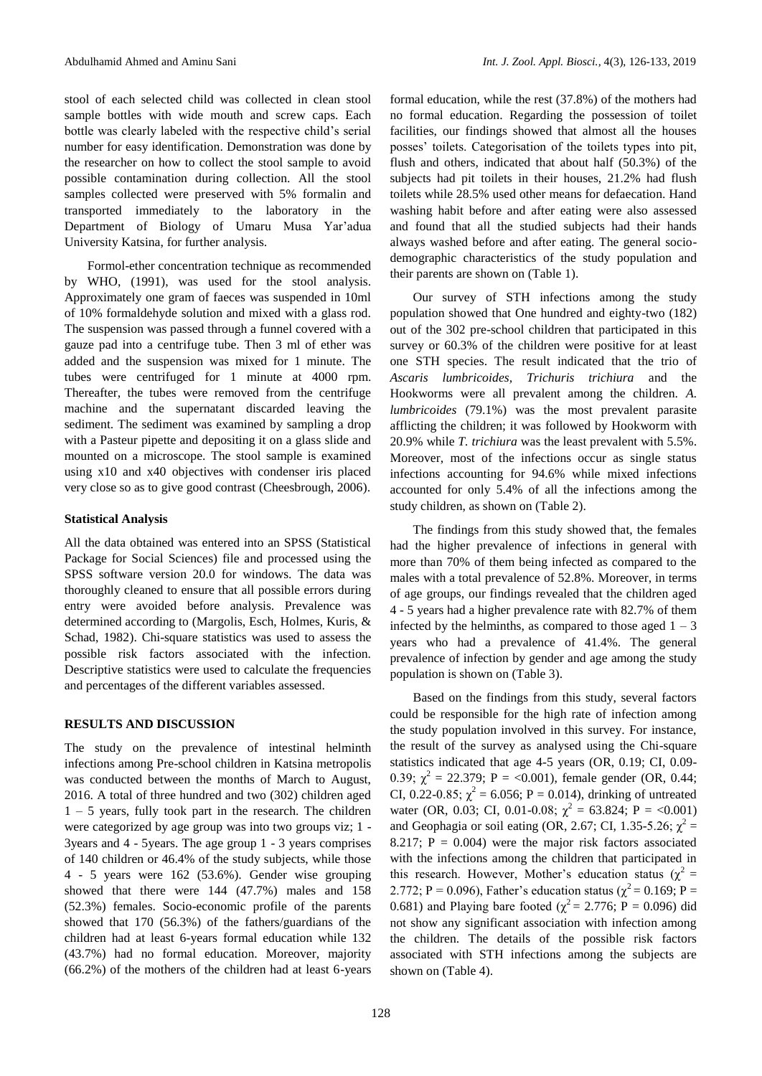stool of each selected child was collected in clean stool sample bottles with wide mouth and screw caps. Each bottle was clearly labeled with the respective child's serial number for easy identification. Demonstration was done by the researcher on how to collect the stool sample to avoid possible contamination during collection. All the stool samples collected were preserved with 5% formalin and transported immediately to the laboratory in the Department of Biology of Umaru Musa Yar'adua University Katsina, for further analysis.

Formol-ether concentration technique as recommended by [WHO, \(1991\)](#page-7-4), was used for the stool analysis. Approximately one gram of faeces was suspended in 10ml of 10% formaldehyde solution and mixed with a glass rod. The suspension was passed through a funnel covered with a gauze pad into a centrifuge tube. Then 3 ml of ether was added and the suspension was mixed for 1 minute. The tubes were centrifuged for 1 minute at 4000 rpm. Thereafter, the tubes were removed from the centrifuge machine and the supernatant discarded leaving the sediment. The sediment was examined by sampling a drop with a Pasteur pipette and depositing it on a glass slide and mounted on a microscope. The stool sample is examined using x10 and x40 objectives with condenser iris placed very close so as to give good contrast [\(Cheesbrough, 2006\)](#page-6-16).

#### **Statistical Analysis**

All the data obtained was entered into an SPSS (Statistical Package for Social Sciences) file and processed using the SPSS software version 20.0 for windows. The data was thoroughly cleaned to ensure that all possible errors during entry were avoided before analysis. Prevalence was determined according to [\(Margolis, Esch, Holmes, Kuris, &](#page-6-17)  [Schad, 1982\)](#page-6-17). Chi-square statistics was used to assess the possible risk factors associated with the infection. Descriptive statistics were used to calculate the frequencies and percentages of the different variables assessed.

## **RESULTS AND DISCUSSION**

The study on the prevalence of intestinal helminth infections among Pre-school children in Katsina metropolis was conducted between the months of March to August, 2016. A total of three hundred and two (302) children aged  $1 - 5$  years, fully took part in the research. The children were categorized by age group was into two groups viz; 1 - 3years and 4 - 5years. The age group 1 - 3 years comprises of 140 children or 46.4% of the study subjects, while those 4 - 5 years were 162 (53.6%). Gender wise grouping showed that there were 144 (47.7%) males and 158 (52.3%) females. Socio-economic profile of the parents showed that 170 (56.3%) of the fathers/guardians of the children had at least 6-years formal education while 132 (43.7%) had no formal education. Moreover, majority (66.2%) of the mothers of the children had at least 6-years formal education, while the rest (37.8%) of the mothers had no formal education. Regarding the possession of toilet facilities, our findings showed that almost all the houses posses' toilets. Categorisation of the toilets types into pit, flush and others, indicated that about half (50.3%) of the subjects had pit toilets in their houses, 21.2% had flush toilets while 28.5% used other means for defaecation. Hand washing habit before and after eating were also assessed and found that all the studied subjects had their hands always washed before and after eating. The general sociodemographic characteristics of the study population and their parents are shown on (Table 1).

Our survey of STH infections among the study population showed that One hundred and eighty-two (182) out of the 302 pre-school children that participated in this survey or 60.3% of the children were positive for at least one STH species. The result indicated that the trio of *Ascaris lumbricoides, Trichuris trichiura* and the Hookworms were all prevalent among the children. *A. lumbricoides* (79.1%) was the most prevalent parasite afflicting the children; it was followed by Hookworm with 20.9% while *T. trichiura* was the least prevalent with 5.5%. Moreover, most of the infections occur as single status infections accounting for 94.6% while mixed infections accounted for only 5.4% of all the infections among the study children, as shown on (Table 2).

The findings from this study showed that, the females had the higher prevalence of infections in general with more than 70% of them being infected as compared to the males with a total prevalence of 52.8%. Moreover, in terms of age groups, our findings revealed that the children aged 4 - 5 years had a higher prevalence rate with 82.7% of them infected by the helminths, as compared to those aged  $1 - 3$ years who had a prevalence of 41.4%. The general prevalence of infection by gender and age among the study population is shown on (Table 3).

Based on the findings from this study, several factors could be responsible for the high rate of infection among the study population involved in this survey. For instance, the result of the survey as analysed using the Chi-square statistics indicated that age 4-5 years (OR, 0.19; CI, 0.09- 0.39;  $\chi^2 = 22.379$ ; P = <0.001), female gender (OR, 0.44; CI, 0.22-0.85;  $\chi^2 = 6.056$ ; P = 0.014), drinking of untreated water (OR, 0.03; CI, 0.01-0.08;  $\chi^2 = 63.824$ ; P = <0.001) and Geophagia or soil eating (OR, 2.67; CI, 1.35-5.26;  $\chi^2$  = 8.217;  $P = 0.004$ ) were the major risk factors associated with the infections among the children that participated in this research. However, Mother's education status ( $\chi^2$  = 2.772; P = 0.096), Father's education status ( $\chi^2$  = 0.169; P = 0.681) and Playing bare footed ( $\chi^2 = 2.776$ ; P = 0.096) did not show any significant association with infection among the children. The details of the possible risk factors associated with STH infections among the subjects are shown on (Table 4).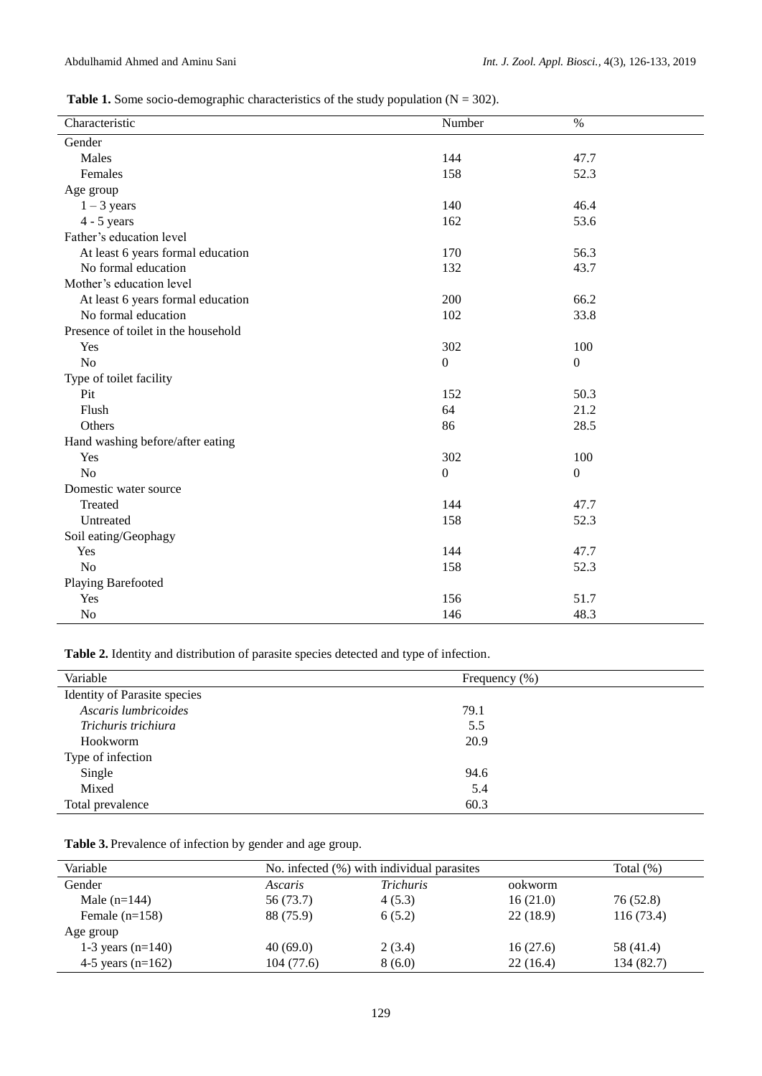## **Table 1.** Some socio-demographic characteristics of the study population  $(N = 302)$ .

| Characteristic                      | Number       | $\%$             |  |  |  |
|-------------------------------------|--------------|------------------|--|--|--|
| Gender                              |              |                  |  |  |  |
| Males                               | 144          | 47.7             |  |  |  |
| Females                             | 158          | 52.3             |  |  |  |
| Age group                           |              |                  |  |  |  |
| $1 - 3$ years                       | 140          | 46.4             |  |  |  |
| $4 - 5$ years                       | 162          | 53.6             |  |  |  |
| Father's education level            |              |                  |  |  |  |
| At least 6 years formal education   | 170          | 56.3             |  |  |  |
| No formal education                 | 132          | 43.7             |  |  |  |
| Mother's education level            |              |                  |  |  |  |
| At least 6 years formal education   | 200          | 66.2             |  |  |  |
| No formal education                 | 102          | 33.8             |  |  |  |
| Presence of toilet in the household |              |                  |  |  |  |
| Yes                                 | 302          | 100              |  |  |  |
| N <sub>o</sub>                      | $\mathbf{0}$ | $\mathbf{0}$     |  |  |  |
| Type of toilet facility             |              |                  |  |  |  |
| Pit                                 | 152          | 50.3             |  |  |  |
| Flush                               | 64           | 21.2             |  |  |  |
| Others                              | 86           | 28.5             |  |  |  |
| Hand washing before/after eating    |              |                  |  |  |  |
| Yes                                 | 302          | 100              |  |  |  |
| N <sub>o</sub>                      | $\mathbf{0}$ | $\boldsymbol{0}$ |  |  |  |
| Domestic water source               |              |                  |  |  |  |
| Treated                             | 144          | 47.7             |  |  |  |
| Untreated                           | 158          | 52.3             |  |  |  |
| Soil eating/Geophagy                |              |                  |  |  |  |
| Yes                                 | 144          | 47.7             |  |  |  |
| N <sub>o</sub>                      | 158          | 52.3             |  |  |  |
| <b>Playing Barefooted</b>           |              |                  |  |  |  |
| Yes                                 | 156          | 51.7             |  |  |  |
| N <sub>o</sub>                      | 146          | 48.3             |  |  |  |

**Table 2.** Identity and distribution of parasite species detected and type of infection.

| Variable                            | Frequency (%) |  |
|-------------------------------------|---------------|--|
| <b>Identity of Parasite species</b> |               |  |
| Ascaris lumbricoides                | 79.1          |  |
| Trichuris trichiura                 | 5.5           |  |
| Hookworm                            | 20.9          |  |
| Type of infection                   |               |  |
| Single                              | 94.6          |  |
| Mixed                               | 5.4           |  |
| Total prevalence                    | 60.3          |  |

**Table 3.** Prevalence of infection by gender and age group.

| Variable            | No. infected (%) with individual parasites |                  |          | Total $(\%)$ |
|---------------------|--------------------------------------------|------------------|----------|--------------|
| Gender              | Ascaris                                    | <i>Trichuris</i> | ookworm  |              |
| Male $(n=144)$      | 56 (73.7)                                  | 4(5.3)           | 16(21.0) | 76 (52.8)    |
| Female $(n=158)$    | 88 (75.9)                                  | 6(5.2)           | 22(18.9) | 116(73.4)    |
| Age group           |                                            |                  |          |              |
| 1-3 years $(n=140)$ | 40(69.0)                                   | 2(3.4)           | 16(27.6) | 58 (41.4)    |
| 4-5 years $(n=162)$ | 104(77.6)                                  | 8 (6.0)          | 22(16.4) | 134 (82.7)   |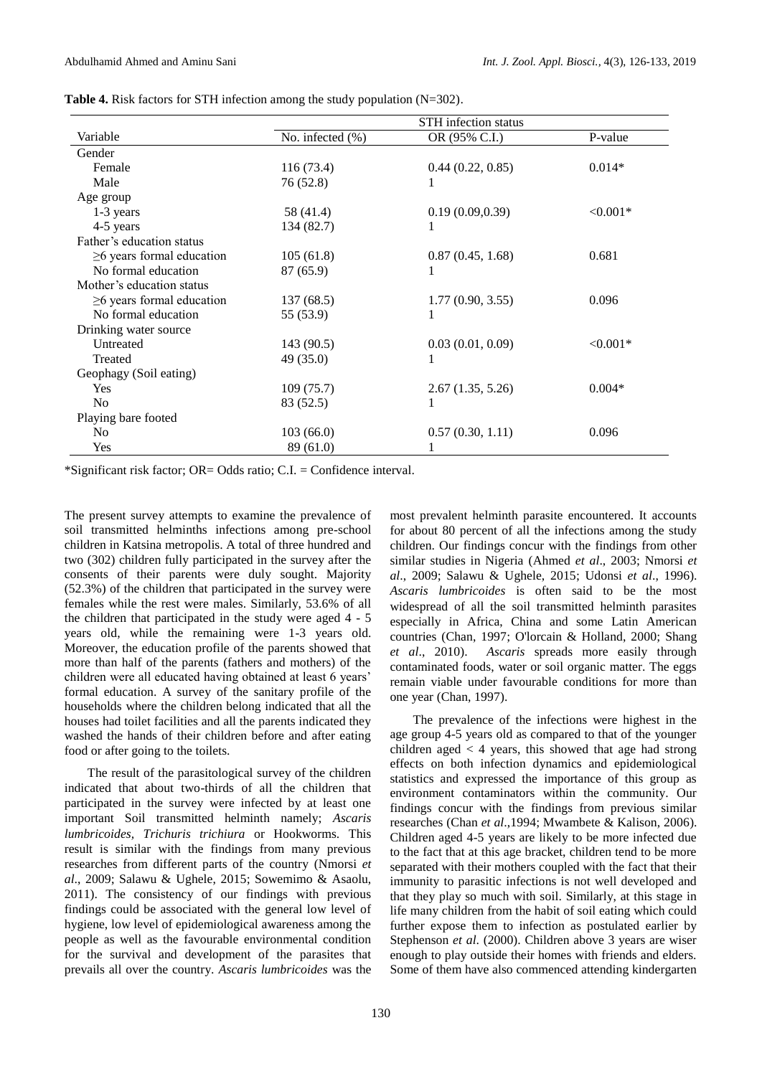|                                 | <b>STH</b> infection status |                  |            |  |
|---------------------------------|-----------------------------|------------------|------------|--|
| Variable                        | No. infected (%)            | OR (95% C.I.)    | P-value    |  |
| Gender                          |                             |                  |            |  |
| Female                          | 116(73.4)                   | 0.44(0.22, 0.85) | $0.014*$   |  |
| Male                            | 76 (52.8)                   |                  |            |  |
| Age group                       |                             |                  |            |  |
| $1-3$ years                     | 58 (41.4)                   | 0.19(0.09, 0.39) | $< 0.001*$ |  |
| 4-5 years                       | 134 (82.7)                  |                  |            |  |
| Father's education status       |                             |                  |            |  |
| $\geq$ 6 years formal education | 105(61.8)                   | 0.87(0.45, 1.68) | 0.681      |  |
| No formal education             | 87(65.9)                    |                  |            |  |
| Mother's education status       |                             |                  |            |  |
| $\geq$ 6 years formal education | 137(68.5)                   | 1.77(0.90, 3.55) | 0.096      |  |
| No formal education             | 55 (53.9)                   | 1                |            |  |
| Drinking water source           |                             |                  |            |  |
| Untreated                       | 143 (90.5)                  | 0.03(0.01, 0.09) | $< 0.001*$ |  |
| Treated                         | 49 (35.0)                   | 1                |            |  |
| Geophagy (Soil eating)          |                             |                  |            |  |
| Yes                             | 109(75.7)                   | 2.67(1.35, 5.26) | $0.004*$   |  |
| N <sub>0</sub>                  | 83 (52.5)                   |                  |            |  |
| Playing bare footed             |                             |                  |            |  |
| N <sub>0</sub>                  | 103(66.0)                   | 0.57(0.30, 1.11) | 0.096      |  |
| Yes                             | 89 (61.0)                   |                  |            |  |

**Table 4.** Risk factors for STH infection among the study population (N=302).

\*Significant risk factor; OR= Odds ratio; C.I. = Confidence interval.

The present survey attempts to examine the prevalence of soil transmitted helminths infections among pre-school children in Katsina metropolis. A total of three hundred and two (302) children fully participated in the survey after the consents of their parents were duly sought. Majority (52.3%) of the children that participated in the survey were females while the rest were males. Similarly, 53.6% of all the children that participated in the study were aged 4 - 5 years old, while the remaining were 1-3 years old. Moreover, the education profile of the parents showed that more than half of the parents (fathers and mothers) of the children were all educated having obtained at least 6 years' formal education. A survey of the sanitary profile of the households where the children belong indicated that all the houses had toilet facilities and all the parents indicated they washed the hands of their children before and after eating food or after going to the toilets.

The result of the parasitological survey of the children indicated that about two-thirds of all the children that participated in the survey were infected by at least one important Soil transmitted helminth namely; *Ascaris lumbricoides, Trichuris trichiura* or Hookworms. This result is similar with the findings from many previous researches from different parts of the country [\(Nmorsi](#page-6-10) *et al*[., 2009;](#page-6-10) [Salawu & Ughele, 2015;](#page-7-5) [Sowemimo & Asaolu,](#page-7-6)  [2011\)](#page-7-6). The consistency of our findings with previous findings could be associated with the general low level of hygiene, low level of epidemiological awareness among the people as well as the favourable environmental condition for the survival and development of the parasites that prevails all over the country. *Ascaris lumbricoides* was the

most prevalent helminth parasite encountered. It accounts for about 80 percent of all the infections among the study children. Our findings concur with the findings from other similar studies in Nigeria [\(Ahmed](#page-5-5) *et al*., 2003; [Nmorsi](#page-6-10) *et al*[., 2009;](#page-6-10) [Salawu & Ughele, 2015;](#page-7-5) [Udonsi](#page-7-7) *et al*., 1996). *Ascaris lumbricoides* is often said to be the most widespread of all the soil transmitted helminth parasites especially in Africa, China and some Latin American countries [\(Chan, 1997;](#page-6-18) [O'lorcain & Holland, 2000;](#page-6-19) [Shang](#page-7-8)  *et al*[., 2010\)](#page-7-8). *Ascaris* spreads more easily through contaminated foods, water or soil organic matter. The eggs remain viable under favourable conditions for more than one year [\(Chan, 1997\)](#page-6-18).

The prevalence of the infections were highest in the age group 4-5 years old as compared to that of the younger children aged  $\lt 4$  years, this showed that age had strong effects on both infection dynamics and epidemiological statistics and expressed the importance of this group as environment contaminators within the community. Our findings concur with the findings from previous similar researches (Chan *et al*[.,1994;](#page-6-20) [Mwambete & Kalison, 2006\)](#page-6-21). Children aged 4-5 years are likely to be more infected due to the fact that at this age bracket, children tend to be more separated with their mothers coupled with the fact that their immunity to parasitic infections is not well developed and that they play so much with soil. Similarly, at this stage in life many children from the habit of soil eating which could further expose them to infection as postulated earlier by [Stephenson](#page-7-9) *et al*. (2000). Children above 3 years are wiser enough to play outside their homes with friends and elders. Some of them have also commenced attending kindergarten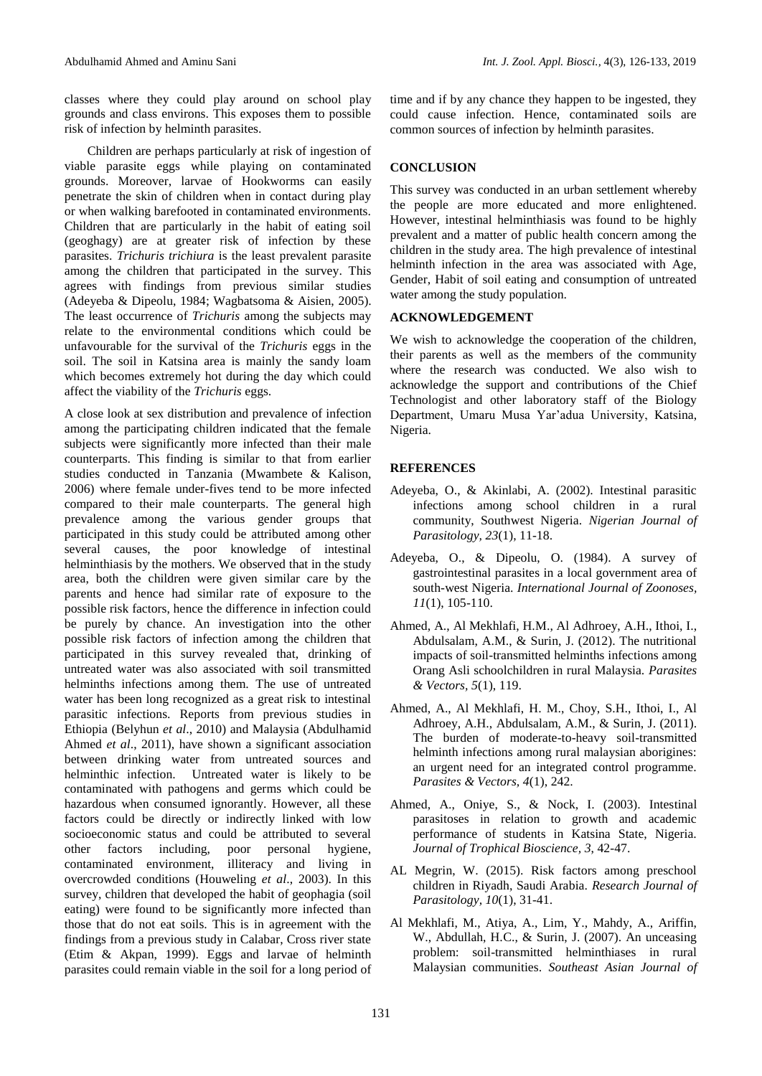classes where they could play around on school play grounds and class environs. This exposes them to possible risk of infection by helminth parasites.

Children are perhaps particularly at risk of ingestion of viable parasite eggs while playing on contaminated grounds. Moreover, larvae of Hookworms can easily penetrate the skin of children when in contact during play or when walking barefooted in contaminated environments. Children that are particularly in the habit of eating soil (geoghagy) are at greater risk of infection by these parasites. *Trichuris trichiura* is the least prevalent parasite among the children that participated in the survey. This agrees with findings from previous similar studies [\(Adeyeba & Dipeolu, 1984;](#page-5-6) [Wagbatsoma & Aisien,](#page-7-2) 2005). The least occurrence of *Trichuris* among the subjects may relate to the environmental conditions which could be unfavourable for the survival of the *Trichuris* eggs in the soil. The soil in Katsina area is mainly the sandy loam which becomes extremely hot during the day which could affect the viability of the *Trichuris* eggs.

A close look at sex distribution and prevalence of infection among the participating children indicated that the female subjects were significantly more infected than their male counterparts. This finding is similar to that from earlier studies conducted in Tanzania [\(Mwambete & Kalison,](#page-6-21)  [2006\)](#page-6-21) where female under-fives tend to be more infected compared to their male counterparts. The general high prevalence among the various gender groups that participated in this study could be attributed among other several causes, the poor knowledge of intestinal helminthiasis by the mothers. We observed that in the study area, both the children were given similar care by the parents and hence had similar rate of exposure to the possible risk factors, hence the difference in infection could be purely by chance. An investigation into the other possible risk factors of infection among the children that participated in this survey revealed that, drinking of untreated water was also associated with soil transmitted helminths infections among them. The use of untreated water has been long recognized as a great risk to intestinal parasitic infections. Reports from previous studies in Ethiopia [\(Belyhun](#page-6-22) *et al*., 2010) and Malaysia [\(Abdulhamid](#page-5-1)  [Ahmed](#page-5-1) *et al*., 2011), have shown a significant association between drinking water from untreated sources and helminthic infection. Untreated water is likely to be contaminated with pathogens and germs which could be hazardous when consumed ignorantly. However, all these factors could be directly or indirectly linked with low socioeconomic status and could be attributed to several other factors including, poor personal hygiene, contaminated environment, illiteracy and living in overcrowded conditions [\(Houweling](#page-6-23) *et al*., 2003). In this survey, children that developed the habit of geophagia (soil eating) were found to be significantly more infected than those that do not eat soils. This is in agreement with the findings from a previous study in Calabar, Cross river state [\(Etim & Akpan, 1999\)](#page-6-24). Eggs and larvae of helminth parasites could remain viable in the soil for a long period of

time and if by any chance they happen to be ingested, they could cause infection. Hence, contaminated soils are common sources of infection by helminth parasites.

## **CONCLUSION**

This survey was conducted in an urban settlement whereby the people are more educated and more enlightened. However, intestinal helminthiasis was found to be highly prevalent and a matter of public health concern among the children in the study area. The high prevalence of intestinal helminth infection in the area was associated with Age, Gender, Habit of soil eating and consumption of untreated water among the study population.

## **ACKNOWLEDGEMENT**

We wish to acknowledge the cooperation of the children, their parents as well as the members of the community where the research was conducted. We also wish to acknowledge the support and contributions of the Chief Technologist and other laboratory staff of the Biology Department, Umaru Musa Yar'adua University, Katsina, Nigeria.

## **REFERENCES**

- <span id="page-5-4"></span>Adeyeba, O., & Akinlabi, A. (2002). Intestinal parasitic infections among school children in a rural community, Southwest Nigeria. *Nigerian Journal of Parasitology, 23*(1), 11-18.
- <span id="page-5-6"></span>Adeyeba, O., & Dipeolu, O. (1984). A survey of gastrointestinal parasites in a local government area of south-west Nigeria. *International Journal of Zoonoses, 11*(1), 105-110.
- <span id="page-5-0"></span>Ahmed, A., Al Mekhlafi, H.M., Al Adhroey, A.H., Ithoi, I., Abdulsalam, A.M., & Surin, J. (2012). The nutritional impacts of soil-transmitted helminths infections among Orang Asli schoolchildren in rural Malaysia. *Parasites & Vectors, 5*(1), 119.
- <span id="page-5-1"></span>Ahmed, A., Al Mekhlafi, H. M., Choy, S.H., Ithoi, I., Al Adhroey, A.H., Abdulsalam, A.M., & Surin, J. (2011). The burden of moderate-to-heavy soil-transmitted helminth infections among rural malaysian aborigines: an urgent need for an integrated control programme. *Parasites & Vectors, 4*(1), 242.
- <span id="page-5-5"></span>Ahmed, A., Oniye, S., & Nock, I. (2003). Intestinal parasitoses in relation to growth and academic performance of students in Katsina State, Nigeria. *Journal of Trophical Bioscience, 3*, 42-47.
- <span id="page-5-2"></span>AL Megrin, W. (2015). Risk factors among preschool children in Riyadh, Saudi Arabia. *Research Journal of Parasitology, 10*(1), 31-41.
- <span id="page-5-3"></span>Al Mekhlafi, M., Atiya, A., Lim, Y., Mahdy, A., Ariffin, W., Abdullah, H.C., & Surin, J. (2007). An unceasing problem: soil-transmitted helminthiases in rural Malaysian communities. *Southeast Asian Journal of*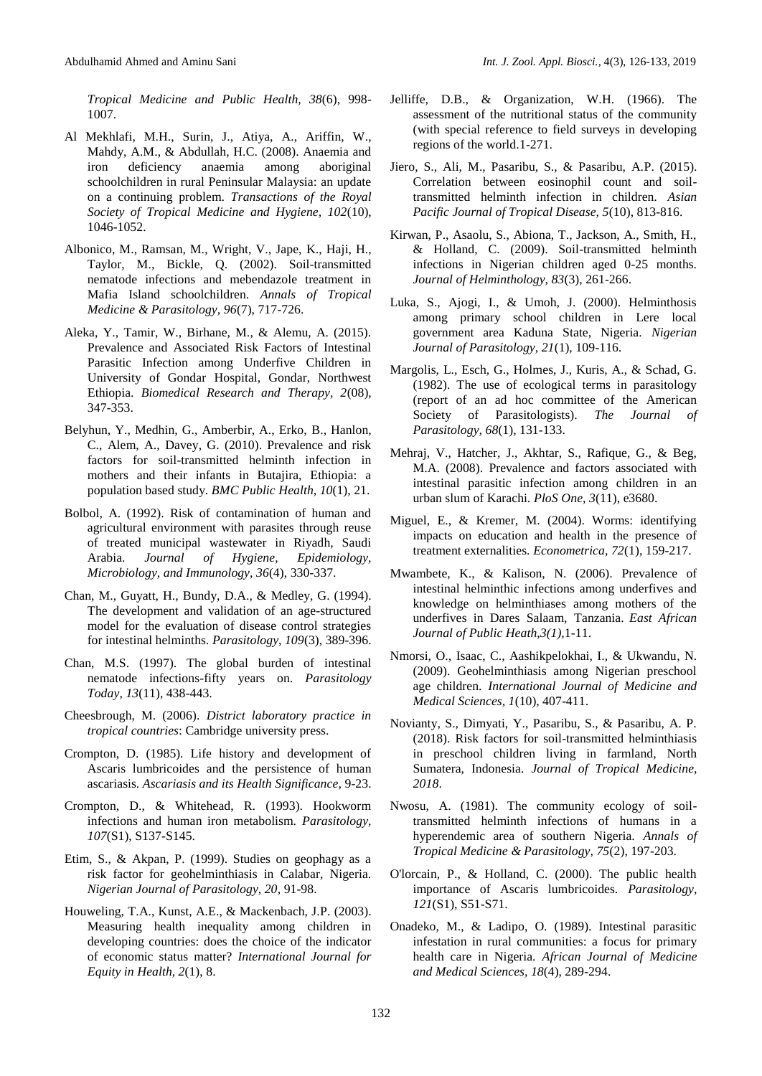*Tropical Medicine and Public Health, 38*(6), 998- 1007.

- <span id="page-6-7"></span>Al Mekhlafi, M.H., Surin, J., Atiya, A., Ariffin, W., Mahdy, A.M., & Abdullah, H.C. (2008). Anaemia and iron deficiency anaemia among aboriginal schoolchildren in rural Peninsular Malaysia: an update on a continuing problem. *Transactions of the Royal Society of Tropical Medicine and Hygiene, 102*(10), 1046-1052.
- <span id="page-6-12"></span>Albonico, M., Ramsan, M., Wright, V., Jape, K., Haji, H., Taylor, M., Bickle, Q. (2002). Soil-transmitted nematode infections and mebendazole treatment in Mafia Island schoolchildren. *Annals of Tropical Medicine & Parasitology, 96*(7), 717-726.
- <span id="page-6-1"></span>Aleka, Y., Tamir, W., Birhane, M., & Alemu, A. (2015). Prevalence and Associated Risk Factors of Intestinal Parasitic Infection among Underfive Children in University of Gondar Hospital, Gondar, Northwest Ethiopia. *Biomedical Research and Therapy, 2*(08), 347-353.
- <span id="page-6-22"></span>Belyhun, Y., Medhin, G., Amberbir, A., Erko, B., Hanlon, C., Alem, A., Davey, G. (2010). Prevalence and risk factors for soil-transmitted helminth infection in mothers and their infants in Butajira, Ethiopia: a population based study. *BMC Public Health, 10*(1), 21.
- <span id="page-6-3"></span>Bolbol, A. (1992). Risk of contamination of human and agricultural environment with parasites through reuse of treated municipal wastewater in Riyadh, Saudi Arabia. *Journal of Hygiene, Epidemiology, Microbiology, and Immunology, 36*(4), 330-337.
- <span id="page-6-20"></span>Chan, M., Guyatt, H., Bundy, D.A., & Medley, G. (1994). The development and validation of an age-structured model for the evaluation of disease control strategies for intestinal helminths. *Parasitology, 109*(3), 389-396.
- <span id="page-6-18"></span>Chan, M.S. (1997). The global burden of intestinal nematode infections-fifty years on. *Parasitology Today, 13*(11), 438-443.
- <span id="page-6-16"></span>Cheesbrough, M. (2006). *District laboratory practice in tropical countries*: Cambridge university press.
- <span id="page-6-13"></span>Crompton, D. (1985). Life history and development of Ascaris lumbricoides and the persistence of human ascariasis. *Ascariasis and its Health Significance*, 9-23.
- <span id="page-6-9"></span>Crompton, D., & Whitehead, R. (1993). Hookworm infections and human iron metabolism. *Parasitology, 107*(S1), S137-S145.
- <span id="page-6-24"></span>Etim, S., & Akpan, P. (1999). Studies on geophagy as a risk factor for geohelminthiasis in Calabar, Nigeria. *Nigerian Journal of Parasitology, 20*, 91-98.
- <span id="page-6-23"></span>Houweling, T.A., Kunst, A.E., & Mackenbach, J.P. (2003). Measuring health inequality among children in developing countries: does the choice of the indicator of economic status matter? *International Journal for Equity in Health, 2*(1), 8.
- <span id="page-6-15"></span>Jelliffe, D.B., & Organization, W.H. (1966). The assessment of the nutritional status of the community (with special reference to field surveys in developing regions of the world.1-271.
- <span id="page-6-2"></span>Jiero, S., Ali, M., Pasaribu, S., & Pasaribu, A.P. (2015). Correlation between eosinophil count and soiltransmitted helminth infection in children. *Asian Pacific Journal of Tropical Disease, 5*(10), 813-816.
- <span id="page-6-14"></span>Kirwan, P., Asaolu, S., Abiona, T., Jackson, A., Smith, H., & Holland, C. (2009). Soil-transmitted helminth infections in Nigerian children aged 0-25 months. *Journal of Helminthology, 83*(3), 261-266.
- <span id="page-6-6"></span>Luka, S., Ajogi, I., & Umoh, J. (2000). Helminthosis among primary school children in Lere local government area Kaduna State, Nigeria. *Nigerian Journal of Parasitology, 21*(1), 109-116.
- <span id="page-6-17"></span>Margolis, L., Esch, G., Holmes, J., Kuris, A., & Schad, G. (1982). The use of ecological terms in parasitology (report of an ad hoc committee of the American Society of Parasitologists). *The Journal of Parasitology, 68*(1), 131-133.
- <span id="page-6-0"></span>Mehraj, V., Hatcher, J., Akhtar, S., Rafique, G., & Beg, M.A. (2008). Prevalence and factors associated with intestinal parasitic infection among children in an urban slum of Karachi. *PloS One, 3*(11), e3680.
- <span id="page-6-5"></span>Miguel, E., & Kremer, M. (2004). Worms: identifying impacts on education and health in the presence of treatment externalities. *Econometrica, 72*(1), 159-217.
- <span id="page-6-21"></span>Mwambete, K., & Kalison, N. (2006). Prevalence of intestinal helminthic infections among underfives and knowledge on helminthiases among mothers of the underfives in Dares Salaam, Tanzania. *East African Journal of Public Heath,3(1),*1*-*11.
- <span id="page-6-10"></span>Nmorsi, O., Isaac, C., Aashikpelokhai, I., & Ukwandu, N. (2009). Geohelminthiasis among Nigerian preschool age children. *International Journal of Medicine and Medical Sciences, 1*(10), 407-411.
- <span id="page-6-4"></span>Novianty, S., Dimyati, Y., Pasaribu, S., & Pasaribu, A. P. (2018). Risk factors for soil-transmitted helminthiasis in preschool children living in farmland, North Sumatera, Indonesia. *Journal of Tropical Medicine, 2018*.
- <span id="page-6-11"></span>Nwosu, A. (1981). The community ecology of soiltransmitted helminth infections of humans in a hyperendemic area of southern Nigeria. *Annals of Tropical Medicine & Parasitology, 75*(2), 197-203.
- <span id="page-6-19"></span>O'lorcain, P., & Holland, C. (2000). The public health importance of Ascaris lumbricoides. *Parasitology, 121*(S1), S51-S71.
- <span id="page-6-8"></span>Onadeko, M., & Ladipo, O. (1989). Intestinal parasitic infestation in rural communities: a focus for primary health care in Nigeria. *African Journal of Medicine and Medical Sciences, 18*(4), 289-294.